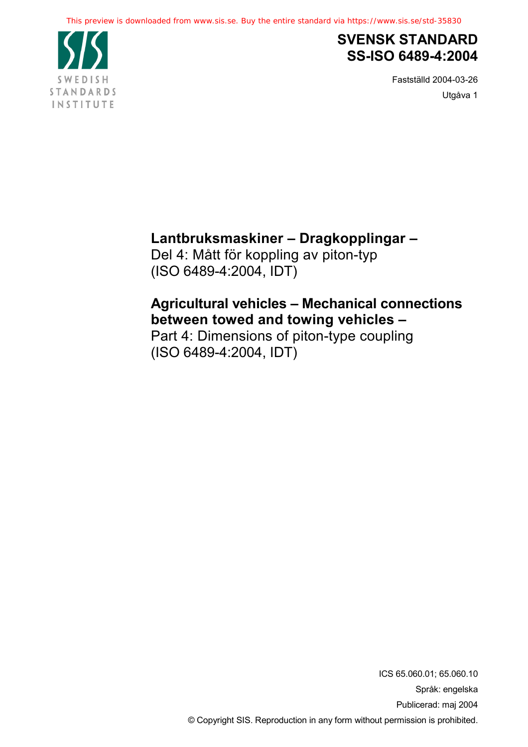

# **SVENSK STANDARD SS-ISO 6489-4:2004**

Fastställd 2004-03-26 Utgåva 1

# **Lantbruksmaskiner – Dragkopplingar –**

Del 4: Mått för koppling av piton-typ (ISO 6489-4:2004, IDT)

# **Agricultural vehicles – Mechanical connections between towed and towing vehicles –**

Part 4: Dimensions of piton-type coupling (ISO 6489-4:2004, IDT)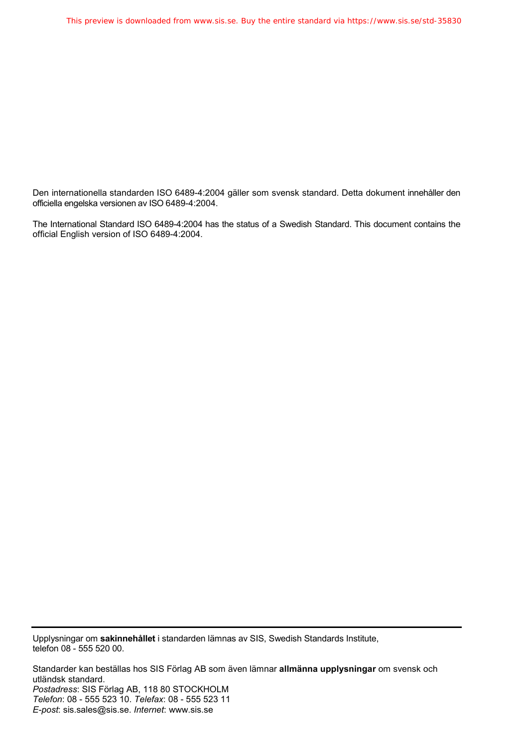Den internationella standarden ISO 6489-4:2004 gäller som svensk standard. Detta dokument innehåller den officiella engelska versionen av ISO 6489-4:2004.

The International Standard ISO 6489-4:2004 has the status of a Swedish Standard. This document contains the official English version of ISO 6489-4:2004.

Upplysningar om **sakinnehållet** i standarden lämnas av SIS, Swedish Standards Institute, telefon 08 - 555 520 00.

Standarder kan beställas hos SIS Förlag AB som även lämnar **allmänna upplysningar** om svensk och utländsk standard. *Postadress*: SIS Förlag AB, 118 80 STOCKHOLM *Telefon*: 08 - 555 523 10. *Telefax*: 08 - 555 523 11 *E-post*: sis.sales@sis.se. *Internet*: www.sis.se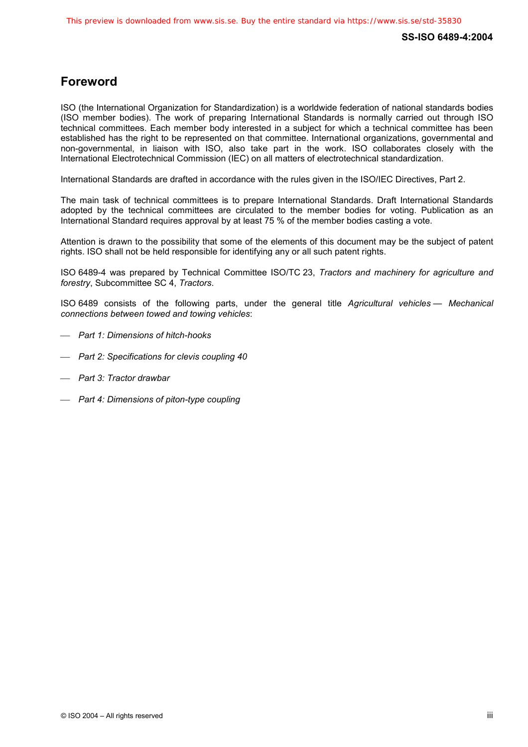## **Foreword**

ISO (the International Organization for Standardization) is a worldwide federation of national standards bodies (ISO member bodies). The work of preparing International Standards is normally carried out through ISO technical committees. Each member body interested in a subject for which a technical committee has been established has the right to be represented on that committee. International organizations, governmental and non-governmental, in liaison with ISO, also take part in the work. ISO collaborates closely with the International Electrotechnical Commission (IEC) on all matters of electrotechnical standardization.

International Standards are drafted in accordance with the rules given in the ISO/IEC Directives, Part 2.

The main task of technical committees is to prepare International Standards. Draft International Standards adopted by the technical committees are circulated to the member bodies for voting. Publication as an International Standard requires approval by at least 75 % of the member bodies casting a vote.

Attention is drawn to the possibility that some of the elements of this document may be the subject of patent rights. ISO shall not be held responsible for identifying any or all such patent rights.

ISO 6489-4 was prepared by Technical Committee ISO/TC 23, *Tractors and machinery for agriculture and forestry*, Subcommittee SC 4, *Tractors*.

ISO 6489 consists of the following parts, under the general title *Agricultural vehicles — Mechanical connections between towed and towing vehicles*:

- *Part 1: Dimensions of hitch-hooks*
- *Part 2: Specifications for clevis coupling 40*
- *Part 3: Tractor drawbar*
- *Part 4: Dimensions of piton-type coupling*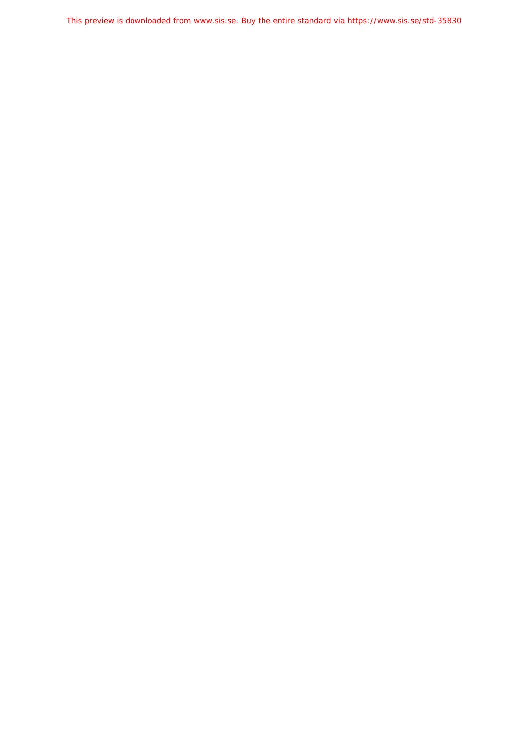This preview is downloaded from www.sis.se. Buy the entire standard via https://www.sis.se/std-35830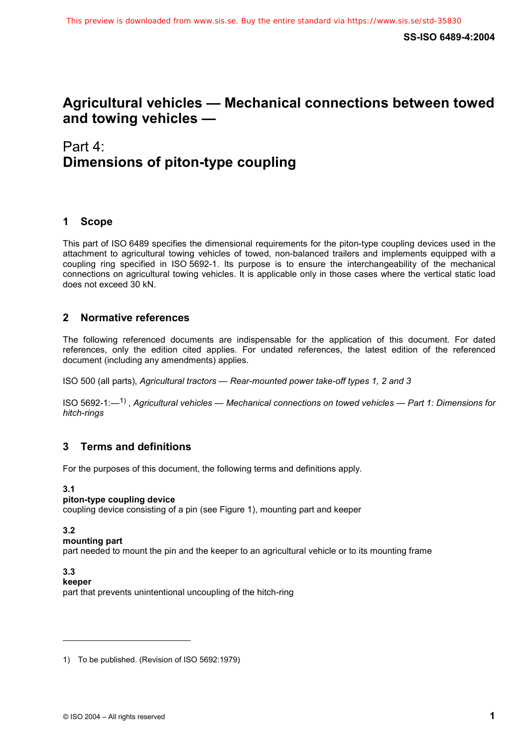## **Agricultural vehicles — Mechanical connections between towed and towing vehicles —**

## Part 4: **Dimensions of piton-type coupling**

### **1 Scope**

This part of ISO 6489 specifies the dimensional requirements for the piton-type coupling devices used in the attachment to agricultural towing vehicles of towed, non-balanced trailers and implements equipped with a coupling ring specified in ISO 5692-1. Its purpose is to ensure the interchangeability of the mechanical connections on agricultural towing vehicles. It is applicable only in those cases where the vertical static load does not exceed 30 kN.

### **2 Normative references**

The following referenced documents are indispensable for the application of this document. For dated references, only the edition cited applies. For undated references, the latest edition of the referenced document (including any amendments) applies.

ISO 500 (all parts), *Agricultural tractors — Rear-mounted power take-off types 1, 2 and 3* 

ISO 5692-1:—1) , *Agricultural vehicles — Mechanical connections on towed vehicles — Part 1: Dimensions for hitch-rings*

### **3 Terms and definitions**

For the purposes of this document, the following terms and definitions apply.

#### **3.1**

#### **piton-type coupling device**

coupling device consisting of a pin (see Figure 1), mounting part and keeper

#### **3.2**

#### **mounting part**

part needed to mount the pin and the keeper to an agricultural vehicle or to its mounting frame

#### **3.3**

 $\overline{a}$ 

**keeper**

part that prevents unintentional uncoupling of the hitch-ring

<sup>1)</sup> To be published. (Revision of ISO 5692:1979)